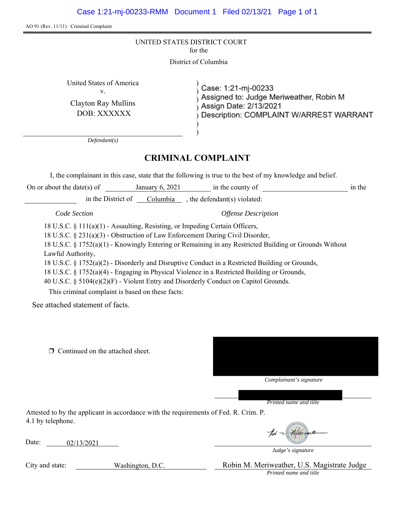AO 91 (Rev. 11/11) Criminal Complaint

| UNITED STATES DISTRICT COURT |
|------------------------------|
| for the                      |

District of Columbia

 $\mathbf{v}$ .  $\qquad \qquad$  )

United States of America<br>
v.<br>
(ase: 1:21-mj-00233<br>
(b) Assigned to: Judge Meriweather, Robin M Clayton Ray Mullins<br>
DOB: XXXXXX<br>
DESCription: COMPLAINT W/ARREST WARRANT

*Defendant(s)* 

# **CRIMINAL COMPLAINT**

) )

I, the complainant in this case, state that the following is true to the best of my knowledge and belief.

in the in the District of  $\sqrt{\frac{Columbia}{\lambda}}$ , the defendant(s) violated: On or about the date(s) of January 6, 2021 in the county of

*Code Section* 

*Offense Description* 

18 U.S.C. § 111(a)(1) - Assaulting, Resisting, or Impeding Certain Officers,

18 U.S.C. § 231(a)(3) - Obstruction of Law Enforcement During Civil Disorder,

18 U.S.C. § 1752(a)(1) - Knowingly Entering or Remaining in any Restricted Building or Grounds Without Lawful Authority,

18 U.S.C. § 1752(a)(2) - Disorderly and Disruptive Conduct in a Restricted Building or Grounds,

18 U.S.C. § 1752(a)(4) - Engaging in Physical Violence in a Restricted Building or Grounds,

40 U.S.C. § 5104(e)(2)(F) - Violent Entry and Disorderly Conduct on Capitol Grounds.

This criminal complaint is based on these facts:

See attached statement of facts.

**<u>I</u>** Continued on the attached sheet.



*Printed name and title* 

Attested to by the applicant in accordance with the requirements of Fed. R. Crim. P. 4.1 by telephone.

Date: 02/13/2021

for - Meiward

*Judge's signature* 

City and state: Washington, D.C. Robin M. Meriweather, U.S. Magistrate Judge *Printed name and title*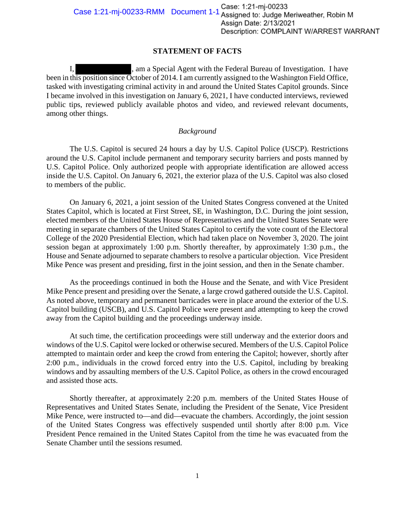# **STATEMENT OF FACTS**

I, am a Special Agent with the Federal Bureau of Investigation. I have been in this position since October of 2014. I am currently assigned to the Washington Field Office, tasked with investigating criminal activity in and around the United States Capitol grounds. Since I became involved in this investigation on January 6, 2021, I have conducted interviews, reviewed public tips, reviewed publicly available photos and video, and reviewed relevant documents, among other things.

## *Background*

The U.S. Capitol is secured 24 hours a day by U.S. Capitol Police (USCP). Restrictions around the U.S. Capitol include permanent and temporary security barriers and posts manned by U.S. Capitol Police. Only authorized people with appropriate identification are allowed access inside the U.S. Capitol. On January 6, 2021, the exterior plaza of the U.S. Capitol was also closed to members of the public.

On January 6, 2021, a joint session of the United States Congress convened at the United States Capitol, which is located at First Street, SE, in Washington, D.C. During the joint session, elected members of the United States House of Representatives and the United States Senate were meeting in separate chambers of the United States Capitol to certify the vote count of the Electoral College of the 2020 Presidential Election, which had taken place on November 3, 2020. The joint session began at approximately 1:00 p.m. Shortly thereafter, by approximately 1:30 p.m., the House and Senate adjourned to separate chambers to resolve a particular objection. Vice President Mike Pence was present and presiding, first in the joint session, and then in the Senate chamber.

As the proceedings continued in both the House and the Senate, and with Vice President Mike Pence present and presiding over the Senate, a large crowd gathered outside the U.S. Capitol. As noted above, temporary and permanent barricades were in place around the exterior of the U.S. Capitol building (USCB), and U.S. Capitol Police were present and attempting to keep the crowd away from the Capitol building and the proceedings underway inside.

At such time, the certification proceedings were still underway and the exterior doors and windows of the U.S. Capitol were locked or otherwise secured. Members of the U.S. Capitol Police attempted to maintain order and keep the crowd from entering the Capitol; however, shortly after 2:00 p.m., individuals in the crowd forced entry into the U.S. Capitol, including by breaking windows and by assaulting members of the U.S. Capitol Police, as others in the crowd encouraged and assisted those acts.

Shortly thereafter, at approximately 2:20 p.m. members of the United States House of Representatives and United States Senate, including the President of the Senate, Vice President Mike Pence, were instructed to—and did—evacuate the chambers. Accordingly, the joint session of the United States Congress was effectively suspended until shortly after 8:00 p.m. Vice President Pence remained in the United States Capitol from the time he was evacuated from the Senate Chamber until the sessions resumed.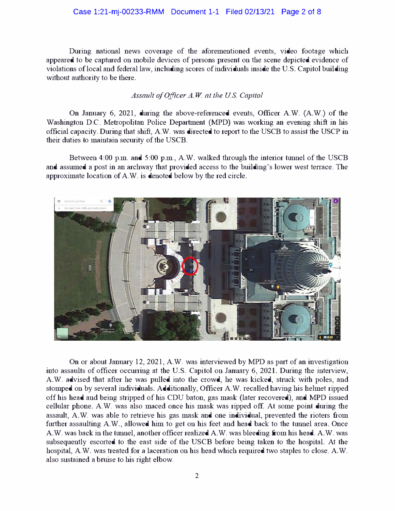#### Case 1:21-mj-00233-RMM Document 1-1 Filed 02/13/21 Page 2 of 8

During national news coverage of the aforementioned events, video footage which appeared to be captured on mobile devices of persons present on the scene depicted evidence of violations of local and federal law, including scores of individuals inside the U.S. Capitol building without authority to be there.

#### *Assault of Officer A. W at the US. Capitol*

On January 6, 2021, during the above-referenced events, Officer A.W. (A.W.) of the Washington D.C. Metropolitan Police Department (MPD) was working an evening shift in his official capacity. During that shift, A.W. was directed to report to the USCB to assist the USCP in their duties to maintain security of the USCB.

Between 4:00 p.m. and 5:00 p.m., A.W. walked through the interior tunnel of the USCB and assumed a post in an archway that provided access to the building's lower west terrace. The approximate location of A.W. is denoted below by the red circle.



On or about January 12, 2021, A.W. was interviewed by MPD as part of an investigation into assaults of officer occurring at the U.S. Capitol on January 6, 2021. During the interview, A.W. advised that after he was pulled into the crowd, he was kicked, strnck with poles, and stomped on by several individuals. Additionally, Officer A.W. recalled having his helmet ripped off his head and being stripped of his CDU baton, gas mask (later recovered), and MPD issued cellular phone. A.W. was also maced once his mask was ripped off. At some point during the assault, A.W. was able to retrieve his gas mask and one individual, prevented the rioters from further assaulting A.W., allowed him to get on his feet and head back to the tunnel area. Once A.W. was back in the tunnel, another officer realized A.W. was bleeding from his head. A.W. was subsequently escorted to the east side of the USCB before being taken to the hospital. At the hospital, A.W. was treated for a laceration on his head which required two staples to close. A.W. also sustained a brnise to his right elbow.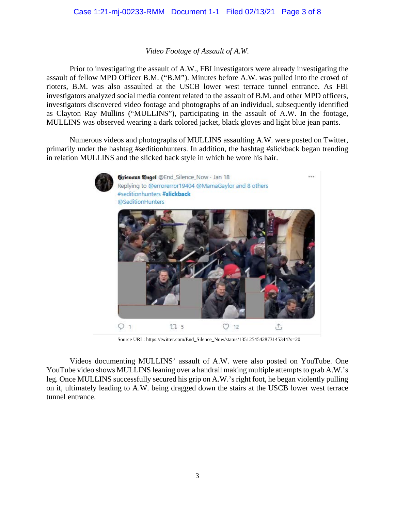## Case 1:21-mj-00233-RMM Document 1-1 Filed 02/13/21 Page 3 of 8

#### *Video Footage of Assault of A.W.*

 rioters, B.M. was also assaulted at the USCB lower west terrace tunnel entrance. As FBI Prior to investigating the assault of A.W., FBI investigators were already investigating the assault of fellow MPD Officer B.M. ("B.M"). Minutes before A.W. was pulled into the crowd of investigators analyzed social media content related to the assault of B.M. and other MPD officers, investigators discovered video footage and photographs of an individual, subsequently identified as Clayton Ray Mullins ("MULLINS"), participating in the assault of A.W. In the footage, MULLINS was observed wearing a dark colored jacket, black gloves and light blue jean pants.

Numerous videos and photographs of MULLINS assaulting A.W. were posted on Twitter, primarily under the hashtag #seditionhunters. In addition, the hashtag #slickback began trending in relation MULLINS and the slicked back style in which he wore his hair.



Source URL: [https://twitter.com/End\\_Silence\\_Now/status/1351254542873145344?s=20](https://twitter.com/End_Silence_Now/status/1351254542873145344?s=20) 

 YouTube video shows MULLINS leaning over a handrail making multiple attempts to grab A.W.'s leg. Once MULLINS successfully secured his grip on A.W.'s right foot, he began violently pulling on it, ultimately leading to A.W. being dragged down the stairs at the USCB lower west terrace Videos documenting MULLINS' assault of A.W. were also posted on YouTube. One tunnel entrance.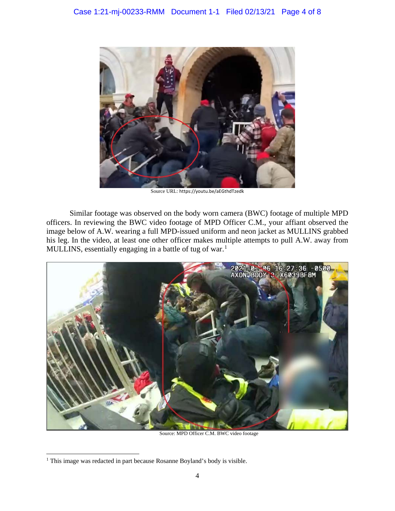

Source URL: <https://youtu.be/aEGthdTzedk>

 image below of A.W. wearing a full MPD-issued uniform and neon jacket as MULLINS grabbed Similar footage was observed on the body worn camera (BWC) footage of multiple MPD officers. In reviewing the BWC video footage of MPD Officer C.M., your affiant observed the his leg. In the video, at least one other officer makes multiple attempts to pull A.W. away from MULLINS, essentially engaging in a battle of tug of war.<sup>1</sup>



Source: MPD Officer C.M. BWC video footage

 $\overline{a}$ <sup>1</sup> This image was redacted in part because Rosanne Boyland's body is visible.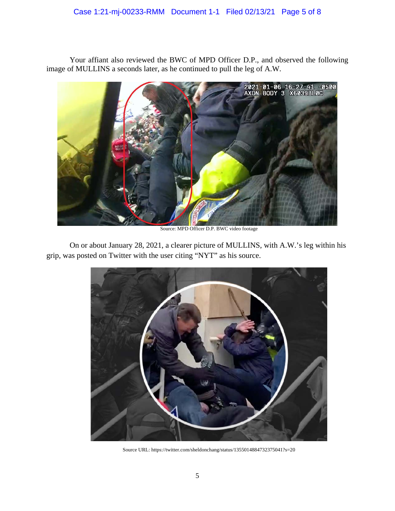Your affiant also reviewed the BWC of MPD Officer D.P., and observed the following image of MULLINS a seconds later, as he continued to pull the leg of A.W.



Source: MPD Officer D.P. BWC video footage

 On or about January 28, 2021, a clearer picture of MULLINS, with A.W.'s leg within his grip, was posted on Twitter with the user citing "NYT" as his source.



Source URL: <https://twitter.com/sheldonchang/status/1355014884732375041?s=20>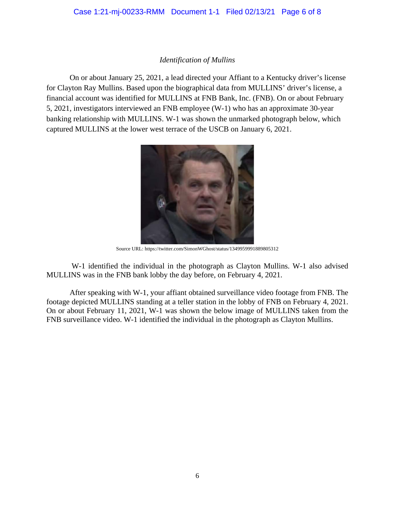## *Identification of Mullins*

On or about January 25, 2021, a lead directed your Affiant to a Kentucky driver's license for Clayton Ray Mullins. Based upon the biographical data from MULLINS' driver's license, a financial account was identified for MULLINS at FNB Bank, Inc. (FNB). On or about February 5, 2021, investigators interviewed an FNB employee (W-1) who has an approximate 30-year banking relationship with MULLINS. W-1 was shown the unmarked photograph below, which captured MULLINS at the lower west terrace of the USCB on January 6, 2021.



Source URL: <https://twitter.com/SimonWGhost/status/1349959991889805312>

W-1 identified the individual in the photograph as Clayton Mullins. W-1 also advised MULLINS was in the FNB bank lobby the day before, on February 4, 2021.

 After speaking with W-1, your affiant obtained surveillance video footage from FNB. The footage depicted MULLINS standing at a teller station in the lobby of FNB on February 4, 2021. On or about February 11, 2021, W-1 was shown the below image of MULLINS taken from the FNB surveillance video. W-1 identified the individual in the photograph as Clayton Mullins.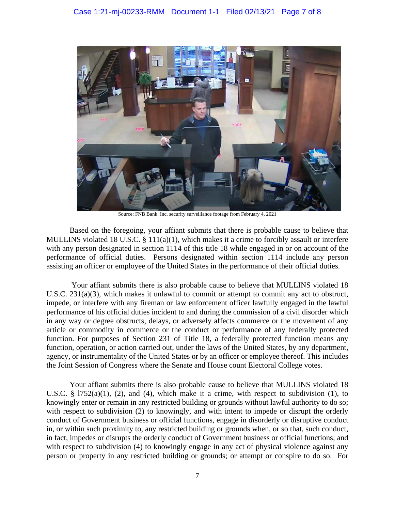

Source: FNB Bank, Inc. security surveillance footage from February 4, 2021

 MULLINS violated 18 U.S.C. § 111(a)(1), which makes it a crime to forcibly assault or interfere Based on the foregoing, your affiant submits that there is probable cause to believe that with any person designated in section 1114 of this title 18 while engaged in or on account of the performance of official duties. Persons designated within section 1114 include any person assisting an officer or employee of the United States in the performance of their official duties.

 Your affiant submits there is also probable cause to believe that MULLINS violated 18 performance of his official duties incident to and during the commission of a civil disorder which function. For purposes of Section 231 of Title 18, a federally protected function means any function, operation, or action carried out, under the laws of the United States, by any department, U.S.C. 231(a)(3), which makes it unlawful to commit or attempt to commit any act to obstruct, impede, or interfere with any fireman or law enforcement officer lawfully engaged in the lawful in any way or degree obstructs, delays, or adversely affects commerce or the movement of any article or commodity in commerce or the conduct or performance of any federally protected agency, or instrumentality of the United States or by an officer or employee thereof. This includes the Joint Session of Congress where the Senate and House count Electoral College votes.

U.S.C. § 1752(a)(1), (2), and (4), which make it a crime, with respect to subdivision (1), to person or property in any restricted building or grounds; or attempt or conspire to do so. For Your affiant submits there is also probable cause to believe that MULLINS violated 18 knowingly enter or remain in any restricted building or grounds without lawful authority to do so; with respect to subdivision (2) to knowingly, and with intent to impede or disrupt the orderly conduct of Government business or official functions, engage in disorderly or disruptive conduct in, or within such proximity to, any restricted building or grounds when, or so that, such conduct, in fact, impedes or disrupts the orderly conduct of Government business or official functions; and with respect to subdivision (4) to knowingly engage in any act of physical violence against any